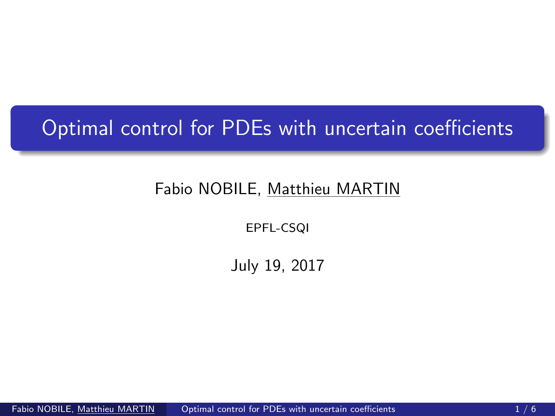## <span id="page-0-0"></span>Optimal control for PDEs with uncertain coefficients

## Fabio NOBILE, Matthieu MARTIN

EPFL-CSQI

July 19, 2017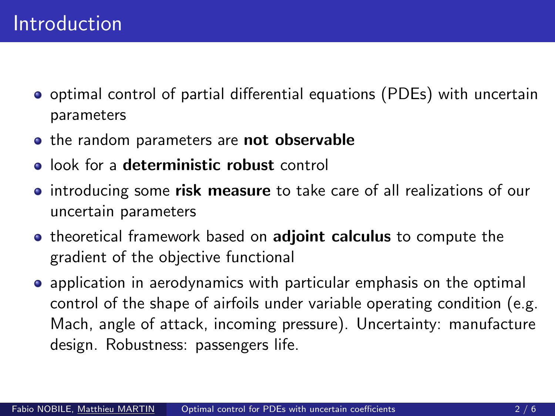- optimal control of partial differential equations (PDEs) with uncertain parameters
- the random parameters are not observable
- **•** look for a **deterministic robust** control
- introducing some risk measure to take care of all realizations of our uncertain parameters
- **•** theoretical framework based on **adjoint calculus** to compute the gradient of the objective functional
- application in aerodynamics with particular emphasis on the optimal control of the shape of airfoils under variable operating condition (e.g. Mach, angle of attack, incoming pressure). Uncertainty: manufacture design. Robustness: passengers life.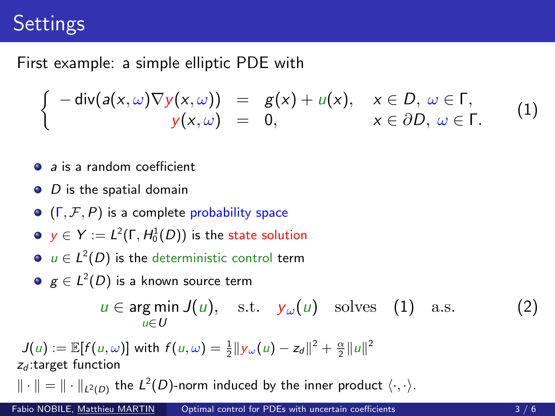## **Settings**

First example: a simple elliptic PDE with

$$
\begin{cases}\n-\text{div}(a(x,\omega)\nabla y(x,\omega)) &= g(x) + u(x), & x \in D, \ \omega \in \Gamma, \\
y(x,\omega) &= 0, & x \in \partial D, \ \omega \in \Gamma.\n\end{cases}
$$
\n(1)

- a *a* is a random coefficient
- $\bullet$  D is the spatial domain
- $\bullet$  ( $\Gamma$ ,  $\mathcal{F}$ ,  $P$ ) is a complete probability space
- $\mathsf{y}\in \mathsf{Y}:=\mathsf{L}^2(\mathsf{\Gamma},\mathsf{H}_0^1(D))$  is the state solution
- $u \in L^2(D)$  is the deterministic control term
- $\mathcal{g} \in L^2(D)$  is a known source term

<span id="page-2-0"></span> $u \in \arg \min J(u)$ , s.t.  $y_{\omega}(u)$  solves [\(1\)](#page-2-0) a.s. (2) u∈U

 $J(u) := \mathbb{E}[f(u, \omega)]$  with  $f(u, \omega) = \frac{1}{2} ||y_\omega(u) - z_d||^2 + \frac{\alpha}{2} ||u||^2$  $z_d$ :target function

 $\|\cdot\|=\|\cdot\|_{L^2(D)}$  the  $L^2(D)$ -norm induced by the inner product  $\langle\cdot,\cdot\rangle.$